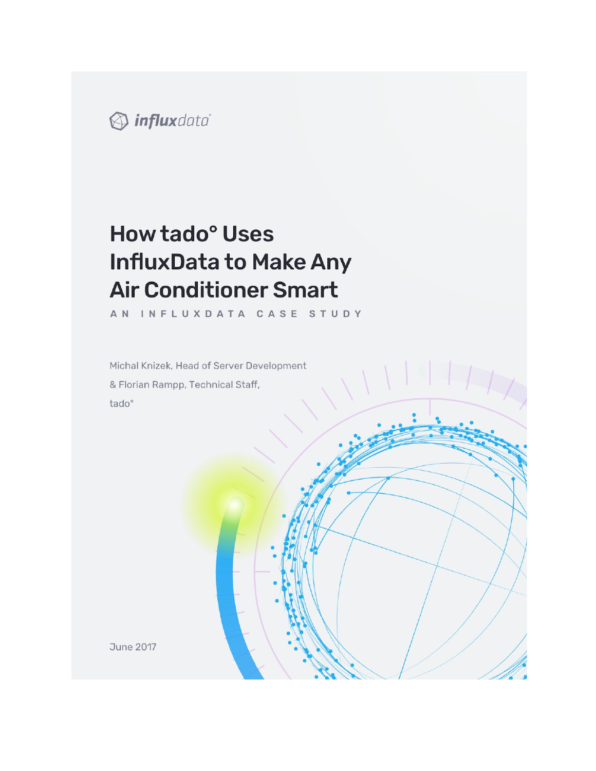

# How tado<sup>°</sup> Uses **InfluxData to Make Any Air Conditioner Smart**

AN INFLUXDATA CASE STUDY

Michal Knizek, Head of Server Development & Florian Rampp, Technical Staff, tado°

**June 2017**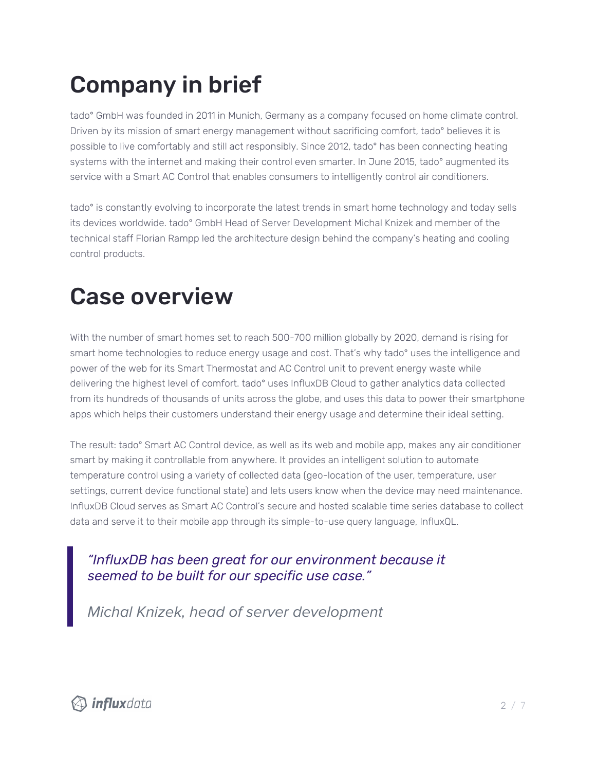# Company in brief

tado° GmbH was founded in 2011 in Munich, Germany as a company focused on home climate control. Driven by its mission of smart energy management without sacrificing comfort, tado° believes it is possible to live comfortably and still act responsibly. Since 2012, tado° has been connecting heating systems with the internet and making their control even smarter. In June 2015, tado° augmented its service with a Smart AC Control that enables consumers to intelligently control air conditioners.

tado° is constantly evolving to incorporate the latest trends in smart home technology and today sells its devices worldwide. tado° GmbH Head of Server Development Michal Knizek and member of the technical staff Florian Rampp led the architecture design behind the company's heating and cooling control products.

# Case overview

With the number of smart homes set to reach 500-700 million globally by 2020, demand is rising for smart home technologies to reduce energy usage and cost. That's why tado° uses the intelligence and power of the web for its Smart Thermostat and AC Control unit to prevent energy waste while delivering the highest level of comfort. tado° uses InfluxDB Cloud to gather analytics data collected from its hundreds of thousands of units across the globe, and uses this data to power their smartphone apps which helps their customers understand their energy usage and determine their ideal setting.

The result: tado° Smart AC Control device, as well as its web and mobile app, makes any air conditioner smart by making it controllable from anywhere. It provides an intelligent solution to automate temperature control using a variety of collected data (geo-location of the user, temperature, user settings, current device functional state) and lets users know when the device may need maintenance. InfluxDB Cloud serves as Smart AC Control's secure and hosted scalable time series database to collect data and serve it to their mobile app through its simple-to-use query language, InfluxQL.

#### *"InfluxDB has been great for our environment because it seemed to be built for our specific use case."*

Michal Knizek, head of server development

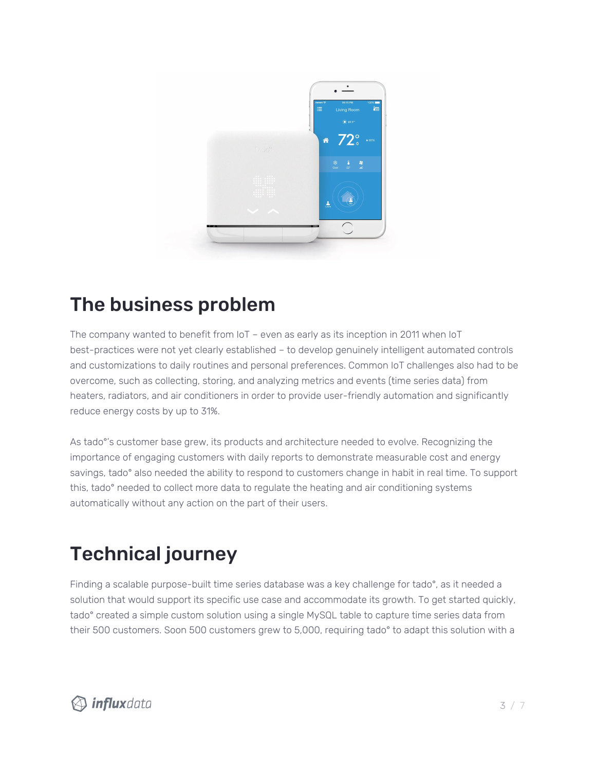

#### The business problem

The company wanted to benefit from IoT – even as early as its inception in 2011 when IoT best-practices were not yet clearly established – to develop genuinely intelligent automated controls and customizations to daily routines and personal preferences. Common IoT challenges also had to be overcome, such as collecting, storing, and analyzing metrics and events (time series data) from heaters, radiators, and air conditioners in order to provide user-friendly automation and significantly reduce energy costs by up to 31%.

As tado°'s customer base grew, its products and architecture needed to evolve. Recognizing the importance of engaging customers with daily reports to demonstrate measurable cost and energy savings, tado° also needed the ability to respond to customers change in habit in real time. To support this, tado° needed to collect more data to regulate the heating and air conditioning systems automatically without any action on the part of their users.

## Technical journey

Finding a scalable purpose-built time series database was a key challenge for tado°, as it needed a solution that would support its specific use case and accommodate its growth. To get started quickly, tado° created a simple custom solution using a single MySQL table to capture time series data from their 500 customers. Soon 500 customers grew to 5,000, requiring tado° to adapt this solution with a

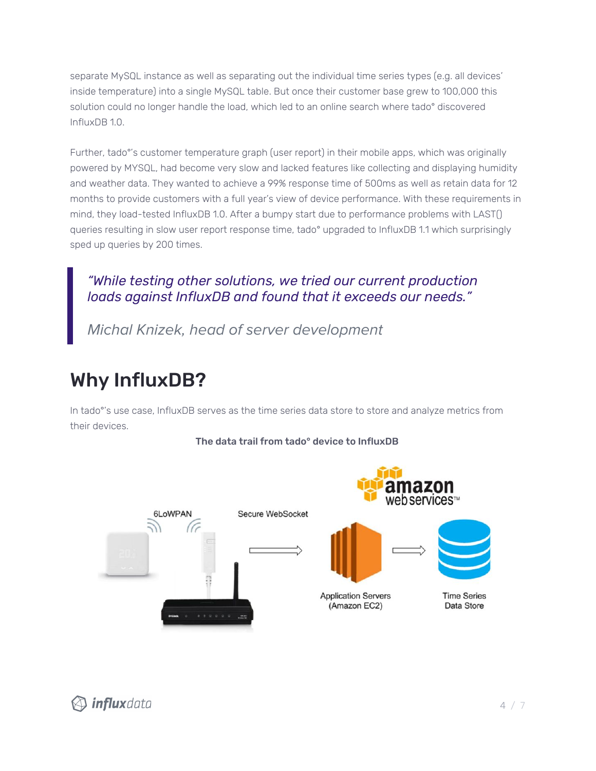separate MySQL instance as well as separating out the individual time series types (e.g. all devices' inside temperature) into a single MySQL table. But once their customer base grew to 100,000 this solution could no longer handle the load, which led to an online search where tado° discovered InfluxDB 1.0.

Further, tado°'s customer temperature graph (user report) in their mobile apps, which was originally powered by MYSQL, had become very slow and lacked features like collecting and displaying humidity and weather data. They wanted to achieve a 99% response time of 500ms as well as retain data for 12 months to provide customers with a full year's view of device performance. With these requirements in mind, they load-tested InfluxDB 1.0. After a bumpy start due to performance problems with LAST() queries resulting in slow user report response time, tado° upgraded to InfluxDB 1.1 which surprisingly sped up queries by 200 times.

#### *"While testing other solutions, we tried our current production loads against InfluxDB and found that it exceeds our needs."*

Michal Knizek, head of server development

#### Why InfluxDB?

In tado°'s use case, InfluxDB serves as the time series data store to store and analyze metrics from their devices.



#### The data trail from tado° device to InfluxDB

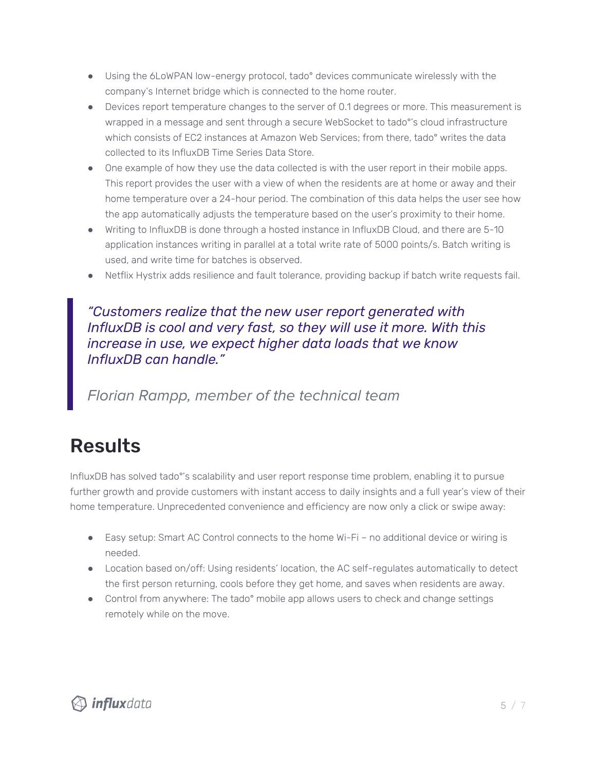- Using the 6LoWPAN low-energy protocol, tado° devices communicate wirelessly with the company's Internet bridge which is connected to the home router.
- Devices report temperature changes to the server of 0.1 degrees or more. This measurement is wrapped in a message and sent through a secure WebSocket to tado°'s cloud infrastructure which consists of EC2 instances at Amazon Web Services; from there, tado° writes the data collected to its InfluxDB Time Series Data Store.
- One example of how they use the data collected is with the user report in their mobile apps. This report provides the user with a view of when the residents are at home or away and their home temperature over a 24-hour period. The combination of this data helps the user see how the app automatically adjusts the temperature based on the user's proximity to their home.
- Writing to InfluxDB is done through a hosted instance in InfluxDB Cloud, and there are 5-10 application instances writing in parallel at a total write rate of 5000 points/s. Batch writing is used, and write time for batches is observed.
- Netflix Hystrix adds resilience and fault tolerance, providing backup if batch write requests fail.

#### *"Customers realize that the new user report generated with InfluxDB is cool and very fast, so they will use it more. With this increase in use, we expect higher data loads that we know InfluxDB can handle."*

Florian Rampp, member of the technical team

#### Results

InfluxDB has solved tado°'s scalability and user report response time problem, enabling it to pursue further growth and provide customers with instant access to daily insights and a full year's view of their home temperature. Unprecedented convenience and efficiency are now only a click or swipe away:

- Easy setup: Smart AC Control connects to the home Wi-Fi no additional device or wiring is needed.
- Location based on/off: Using residents' location, the AC self-regulates automatically to detect the first person returning, cools before they get home, and saves when residents are away.
- Control from anywhere: The tado° mobile app allows users to check and change settings remotely while on the move.

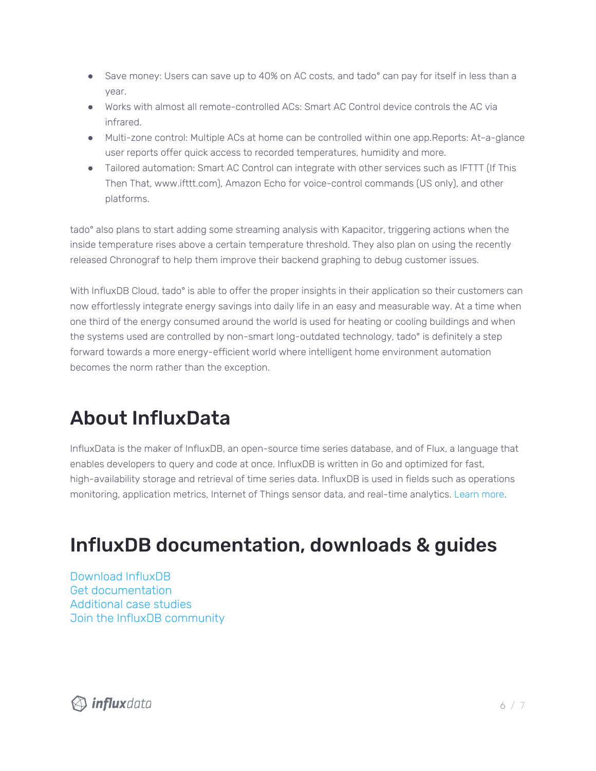- Save money: Users can save up to 40% on AC costs, and tado° can pay for itself in less than a year.
- Works with almost all remote-controlled ACs: Smart AC Control device controls the AC via infrared.
- Multi-zone control: Multiple ACs at home can be controlled within one app.Reports: At-a-glance user reports offer quick access to recorded temperatures, humidity and more.
- Tailored automation: Smart AC Control can integrate with other services such as IFTTT (If This Then That, www.ifttt.com), Amazon Echo for voice-control commands (US only), and other platforms.

tado° also plans to start adding some streaming analysis with Kapacitor, triggering actions when the inside temperature rises above a certain temperature threshold. They also plan on using the recently released Chronograf to help them improve their backend graphing to debug customer issues.

With InfluxDB Cloud, tado<sup>°</sup> is able to offer the proper insights in their application so their customers can now effortlessly integrate energy savings into daily life in an easy and measurable way. At a time when one third of the energy consumed around the world is used for heating or cooling buildings and when the systems used are controlled by non-smart long-outdated technology, tado° is definitely a step forward towards a more energy-efficient world where intelligent home environment automation becomes the norm rather than the exception.

## About InfluxData

InfluxData is the maker of InfluxDB, an open-source time series database, and of Flux, a language that enables developers to query and code at once. InfluxDB is written in Go and optimized for fast, high-availability storage and retrieval of time series data. InfluxDB is used in fields such as operations monitoring, application metrics, Internet of Things sensor data, and real-time analytics. [Learn](http://www.influxdata.com/) mor[e.](http://www.influxdata.com/)

## InfluxDB documentation, downloads & guides

[Download](https://influxdata.com/getinflux/) InfluxDB Get d[ocumentation](https://docs.influxdata.com/) [Additional](https://www.influxdata.com/_resources/) case studies Join the InfluxDB [community](https://www.influxdata.com/community-showcase/)